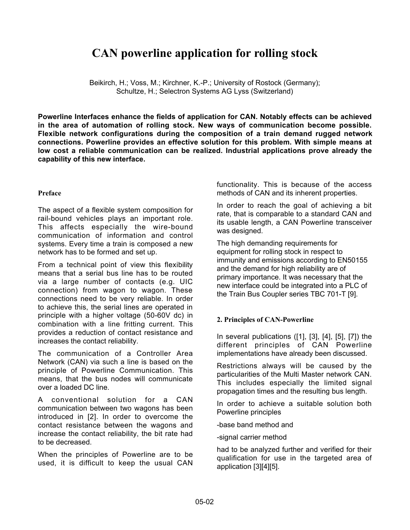# **CAN powerline application for rolling stock**

Beikirch, H.; Voss, M.; Kirchner, K.-P.; University of Rostock (Germany); Schultze, H.; Selectron Systems AG Lyss (Switzerland)

**Powerline Interfaces enhance the fields of application for CAN. Notably effects can be achieved in the area of automation of rolling stock. New ways of communication become possible. Flexible network configurations during the composition of a train demand rugged network connections. Powerline provides an effective solution for this problem. With simple means at low cost a reliable communication can be realized. Industrial applications prove already the capability of this new interface.**

# **Preface**

The aspect of a flexible system composition for rail-bound vehicles plays an important role. This affects especially the wire-bound communication of information and control systems. Every time a train is composed a new network has to be formed and set up.

From a technical point of view this flexibility means that a serial bus line has to be routed via a large number of contacts (e.g. UIC connection) from wagon to wagon. These connections need to be very reliable. In order to achieve this, the serial lines are operated in principle with a higher voltage (50-60V dc) in combination with a line fritting current. This provides a reduction of contact resistance and increases the contact reliability.

The communication of a Controller Area Network (CAN) via such a line is based on the principle of Powerline Communication. This means, that the bus nodes will communicate over a loaded DC line.

A conventional solution for a CAN communication between two wagons has been introduced in [2]. In order to overcome the contact resistance between the wagons and increase the contact reliability, the bit rate had to be decreased.

When the principles of Powerline are to be used, it is difficult to keep the usual CAN functionality. This is because of the access methods of CAN and its inherent properties.

In order to reach the goal of achieving a bit rate, that is comparable to a standard CAN and its usable length, a CAN Powerline transceiver was designed.

The high demanding requirements for equipment for rolling stock in respect to immunity and emissions according to EN50155 and the demand for high reliability are of primary importance. It was necessary that the new interface could be integrated into a PLC of the Train Bus Coupler series TBC 701-T [9].

# **2. Principles of CAN-Powerline**

In several publications ([1], [3], [4], [5], [7]) the different principles of CAN Powerline implementations have already been discussed.

Restrictions always will be caused by the particularities of the Multi Master network CAN. This includes especially the limited signal propagation times and the resulting bus length.

In order to achieve a suitable solution both Powerline principles

-base band method and

-signal carrier method

had to be analyzed further and verified for their qualification for use in the targeted area of application [3][4][5].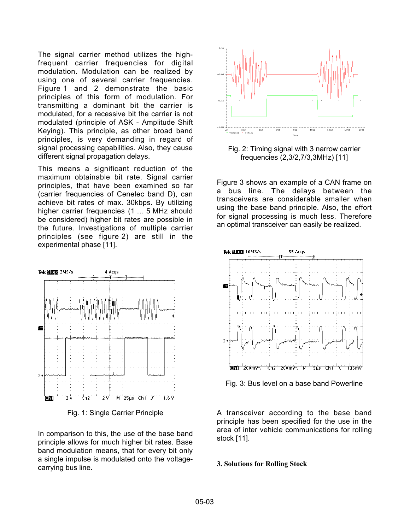The signal carrier method utilizes the highfrequent carrier frequencies for digital modulation. Modulation can be realized by using one of several carrier frequencies. Figure 1 and 2 demonstrate the basic principles of this form of modulation. For transmitting a dominant bit the carrier is modulated, for a recessive bit the carrier is not modulated (principle of ASK - Amplitude Shift Keying). This principle, as other broad band principles, is very demanding in regard of signal processing capabilities. Also, they cause different signal propagation delays.

This means a significant reduction of the maximum obtainable bit rate. Signal carrier principles, that have been examined so far (carrier frequencies of Cenelec band D), can achieve bit rates of max. 30kbps. By utilizing higher carrier frequencies (1 ... 5 MHz should be considered) higher bit rates are possible in the future. Investigations of multiple carrier principles (see figure 2) are still in the experimental phase [11].



Fig. 1: Single Carrier Principle

In comparison to this, the use of the base band principle allows for much higher bit rates. Base band modulation means, that for every bit only a single impulse is modulated onto the voltagecarrying bus line.



Fig. 2: Timing signal with 3 narrow carrier frequencies (2,3/2,7/3,3MHz) [11]

Figure 3 shows an example of a CAN frame on a bus line. The delays between the transceivers are considerable smaller when using the base band principle. Also, the effort for signal processing is much less. Therefore an optimal transceiver can easily be realized.



Fig. 3: Bus level on a base band Powerline

A transceiver according to the base band principle has been specified for the use in the area of inter vehicle communications for rolling stock [11].

#### **3. Solutions for Rolling Stock**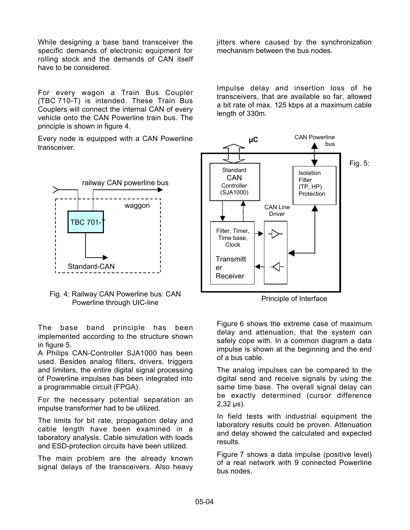While designing a base band transceiver the specific demands of electronic equipment for rolling stock and the demands of CAN itself have to be considered.

For every wagon a Train Bus Coupler (TBC 710-T) is intended. These Train Bus Couplers will connect the internal CAN of every vehicle onto the CAN Powerline train bus. The principle is shown in figure 4.

Every node is equipped with a CAN Powerline transceiver.



Fig. 4: Railway CAN Powerline bus: CAN Powerline through UIC-line

The base band principle has been implemented according to the structure shown in figure 5.

A Philips CAN-Controller SJA1000 has been used. Besides analog filters, drivers, triggers and limiters, the entire digital signal processing of Powerline impulses has been integrated into a programmable circuit (FPGA).

For the necessary potential separation an impulse transformer had to be utilized.

The limits for bit rate, propagation delay and cable length have been examined in a laboratory analysis. Cable simulation with loads and ESD-protection circuits have been utilized.

The main problem are the already known signal delays of the transceivers. Also heavy jitters where caused by the synchronization mechanism between the bus nodes.

Impulse delay and insertion loss of he transceivers, that are available so far, allowed a bit rate of max. 125 kbps at a maximum cable length of 330m.



Principle of Interface

Figure 6 shows the extreme case of maximum delay and attenuation, that the system can safely cope with. In a common diagram a data impulse is shown at the beginning and the end of a bus cable.

The analog impulses can be compared to the digital send and receive signals by using the same time base. The overall signal delay can be exactly determined (cursor difference 2,32 µs).

In field tests with industrial equipment the laboratory results could be proven. Attenuation and delay showed the calculated and expected results.

Figure 7 shows a data impulse (positive level) of a real network with 9 connected Powerline bus nodes.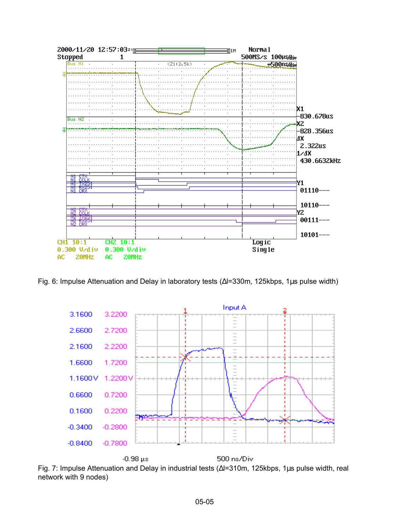

Fig. 6: Impulse Attenuation and Delay in laboratory tests (∆l=330m, 125kbps, 1µs pulse width)



Fig. 7: Impulse Attenuation and Delay in industrial tests (∆l=310m, 125kbps, 1µs pulse width, real network with 9 nodes)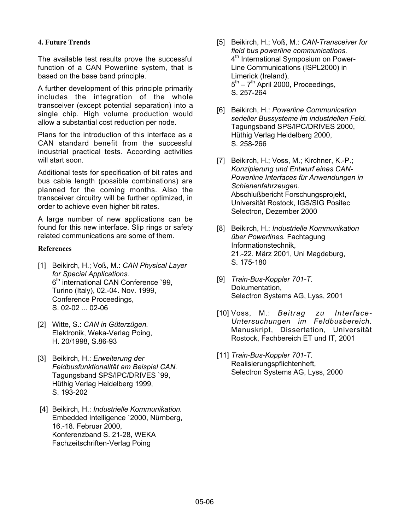# **4. Future Trends**

The available test results prove the successful function of a CAN Powerline system, that is based on the base band principle.

A further development of this principle primarily includes the integration of the whole transceiver (except potential separation) into a single chip. High volume production would allow a substantial cost reduction per node.

Plans for the introduction of this interface as a CAN standard benefit from the successful industrial practical tests. According activities will start soon.

Additional tests for specification of bit rates and bus cable length (possible combinations) are planned for the coming months. Also the transceiver circuitry will be further optimized, in order to achieve even higher bit rates.

A large number of new applications can be found for this new interface. Slip rings or safety related communications are some of them.

# **References**

- [1] Beikirch, H.; Voß, M.: *CAN Physical Layer for Special Applications.* 6<sup>th</sup> international CAN Conference '99, Turino (Italy), 02.-04. Nov. 1999, Conference Proceedings, S. 02-02 ... 02-06
- [2] Witte, S.: *CAN in Güterzügen.* Elektronik, Weka-Verlag Poing, H. 20/1998, S.86-93
- [3] Beikirch, H.: *Erweiterung der Feldbusfunktionalität am Beispiel CAN.* Tagungsband SPS/IPC/DRIVES `99, Hüthig Verlag Heidelberg 1999, S. 193-202
- [4] Beikirch, H.: *Industrielle Kommunikation.* Embedded Intelligence `2000, Nürnberg, 16.-18. Februar 2000, Konferenzband S. 21-28, WEKA Fachzeitschriften-Verlag Poing
- [5] Beikirch, H.; Voß, M.: *CAN-Transceiver for field bus powerline communications.* 4<sup>th</sup> International Symposium on Power-Line Communications (ISPL2000) in Limerick (Ireland),  $5<sup>th</sup> - 7<sup>th</sup>$  April 2000, Proceedings, S. 257-264
- [6] Beikirch, H.: *Powerline Communication serieller Bussysteme im industriellen Feld.* Tagungsband SPS/IPC/DRIVES 2000, Hüthig Verlag Heidelberg 2000, S. 258-266
- [7] Beikirch, H.; Voss, M.; Kirchner, K.-P.; *Konzipierung und Entwurf eines CAN-Powerline Interfaces für Anwendungen in Schienenfahrzeugen.* Abschlußbericht Forschungsprojekt, Universität Rostock, IGS/SIG Positec Selectron, Dezember 2000
- [8] Beikirch, H.: *Industrielle Kommunikation über Powerlines.* Fachtagung Informationstechnik, 21.-22. März 2001, Uni Magdeburg, S. 175-180
- [9] *Train-Bus-Koppler 701-T.* Dokumentation, Selectron Systems AG, Lyss, 2001
- [10] Voss, M.: *Beitrag zu Interface-Untersuchungen im Feldbusbereich.* Manuskript, Dissertation, Universität Rostock, Fachbereich ET und IT, 2001
- [11] *Train-Bus-Koppler 701-T.* Realisierungspflichtenheft, Selectron Systems AG, Lyss, 2000